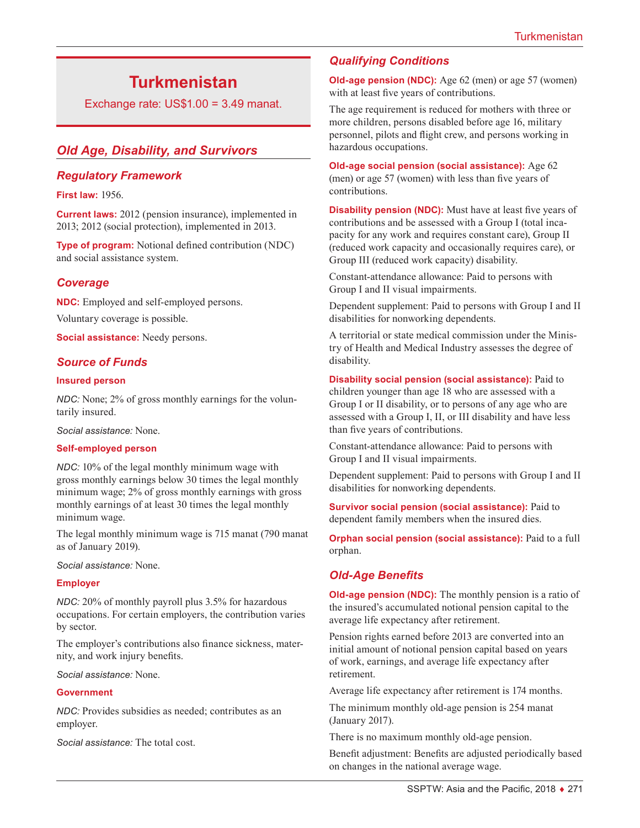# **Turkmenistan**

Exchange rate:  $US$1.00 = 3.49$  manat.

# *Old Age, Disability, and Survivors*

#### *Regulatory Framework*

#### **First law:** 1956.

**Current laws:** 2012 (pension insurance), implemented in 2013; 2012 (social protection), implemented in 2013.

**Type of program:** Notional defined contribution (NDC) and social assistance system.

#### *Coverage*

**NDC:** Employed and self-employed persons. Voluntary coverage is possible.

**Social assistance:** Needy persons.

#### *Source of Funds*

#### **Insured person**

*NDC:* None; 2% of gross monthly earnings for the voluntarily insured.

*Social assistance:* None.

#### **Self-employed person**

*NDC:* 10% of the legal monthly minimum wage with gross monthly earnings below 30 times the legal monthly minimum wage; 2% of gross monthly earnings with gross monthly earnings of at least 30 times the legal monthly minimum wage.

The legal monthly minimum wage is 715 manat (790 manat as of January 2019).

*Social assistance:* None.

#### **Employer**

*NDC:* 20% of monthly payroll plus 3.5% for hazardous occupations. For certain employers, the contribution varies by sector.

The employer's contributions also finance sickness, maternity, and work injury benefits.

*Social assistance:* None.

#### **Government**

*NDC:* Provides subsidies as needed; contributes as an employer.

*Social assistance:* The total cost.

## *Qualifying Conditions*

**Old-age pension (NDC):** Age 62 (men) or age 57 (women) with at least five years of contributions.

The age requirement is reduced for mothers with three or more children, persons disabled before age 16, military personnel, pilots and flight crew, and persons working in hazardous occupations.

**Old-age social pension (social assistance):** Age 62 (men) or age 57 (women) with less than five years of contributions.

**Disability pension (NDC):** Must have at least five years of contributions and be assessed with a Group I (total incapacity for any work and requires constant care), Group II (reduced work capacity and occasionally requires care), or Group III (reduced work capacity) disability.

Constant-attendance allowance: Paid to persons with Group I and II visual impairments.

Dependent supplement: Paid to persons with Group I and II disabilities for nonworking dependents.

A territorial or state medical commission under the Ministry of Health and Medical Industry assesses the degree of disability.

#### **Disability social pension (social assistance):** Paid to

children younger than age 18 who are assessed with a Group I or II disability, or to persons of any age who are assessed with a Group I, II, or III disability and have less than five years of contributions.

Constant-attendance allowance: Paid to persons with Group I and II visual impairments.

Dependent supplement: Paid to persons with Group I and II disabilities for nonworking dependents.

**Survivor social pension (social assistance):** Paid to dependent family members when the insured dies.

**Orphan social pension (social assistance):** Paid to a full orphan.

### *Old-Age Benefits*

**Old-age pension (NDC):** The monthly pension is a ratio of the insured's accumulated notional pension capital to the average life expectancy after retirement.

Pension rights earned before 2013 are converted into an initial amount of notional pension capital based on years of work, earnings, and average life expectancy after retirement.

Average life expectancy after retirement is 174 months.

The minimum monthly old-age pension is 254 manat (January 2017).

There is no maximum monthly old-age pension.

Benefit adjustment: Benefits are adjusted periodically based on changes in the national average wage.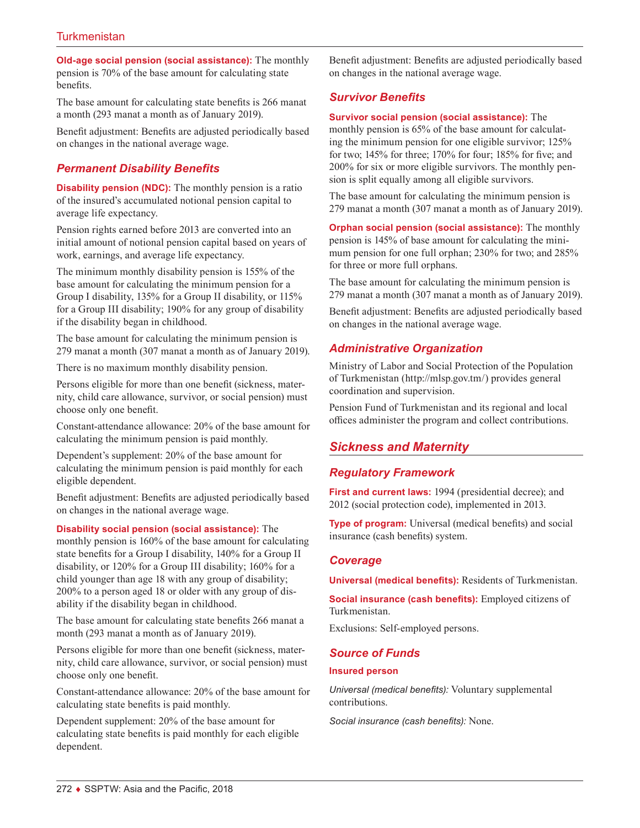**Old-age social pension (social assistance):** The monthly pension is 70% of the base amount for calculating state benefits.

The base amount for calculating state benefits is 266 manat a month (293 manat a month as of January 2019).

Benefit adjustment: Benefits are adjusted periodically based on changes in the national average wage.

# *Permanent Disability Benefits*

**Disability pension (NDC):** The monthly pension is a ratio of the insured's accumulated notional pension capital to average life expectancy.

Pension rights earned before 2013 are converted into an initial amount of notional pension capital based on years of work, earnings, and average life expectancy.

The minimum monthly disability pension is 155% of the base amount for calculating the minimum pension for a Group I disability, 135% for a Group II disability, or 115% for a Group III disability; 190% for any group of disability if the disability began in childhood.

The base amount for calculating the minimum pension is 279 manat a month (307 manat a month as of January 2019).

There is no maximum monthly disability pension.

Persons eligible for more than one benefit (sickness, maternity, child care allowance, survivor, or social pension) must choose only one benefit.

Constant-attendance allowance: 20% of the base amount for calculating the minimum pension is paid monthly.

Dependent's supplement: 20% of the base amount for calculating the minimum pension is paid monthly for each eligible dependent.

Benefit adjustment: Benefits are adjusted periodically based on changes in the national average wage.

**Disability social pension (social assistance):** The

monthly pension is 160% of the base amount for calculating state benefits for a Group I disability, 140% for a Group II disability, or 120% for a Group III disability; 160% for a child younger than age 18 with any group of disability; 200% to a person aged 18 or older with any group of disability if the disability began in childhood.

The base amount for calculating state benefits 266 manat a month (293 manat a month as of January 2019).

Persons eligible for more than one benefit (sickness, maternity, child care allowance, survivor, or social pension) must choose only one benefit.

Constant-attendance allowance: 20% of the base amount for calculating state benefits is paid monthly.

Dependent supplement: 20% of the base amount for calculating state benefits is paid monthly for each eligible dependent.

Benefit adjustment: Benefits are adjusted periodically based on changes in the national average wage.

# *Survivor Benefits*

#### **Survivor social pension (social assistance):** The

monthly pension is 65% of the base amount for calculating the minimum pension for one eligible survivor; 125% for two; 145% for three; 170% for four; 185% for five; and 200% for six or more eligible survivors. The monthly pension is split equally among all eligible survivors.

The base amount for calculating the minimum pension is 279 manat a month (307 manat a month as of January 2019).

**Orphan social pension (social assistance):** The monthly pension is 145% of base amount for calculating the minimum pension for one full orphan; 230% for two; and 285% for three or more full orphans.

The base amount for calculating the minimum pension is 279 manat a month (307 manat a month as of January 2019).

Benefit adjustment: Benefits are adjusted periodically based on changes in the national average wage.

# *Administrative Organization*

Ministry of Labor and Social Protection of the Population of Turkmenistan (<http://mlsp.gov.tm/>) provides general coordination and supervision.

Pension Fund of Turkmenistan and its regional and local offices administer the program and collect contributions.

# *Sickness and Maternity*

# *Regulatory Framework*

**First and current laws:** 1994 (presidential decree); and 2012 (social protection code), implemented in 2013.

**Type of program:** Universal (medical benefits) and social insurance (cash benefits) system.

### *Coverage*

**Universal (medical benefits):** Residents of Turkmenistan.

**Social insurance (cash benefits):** Employed citizens of Turkmenistan.

Exclusions: Self-employed persons.

### *Source of Funds*

#### **Insured person**

*Universal (medical benefits):* Voluntary supplemental contributions.

*Social insurance (cash benefits):* None.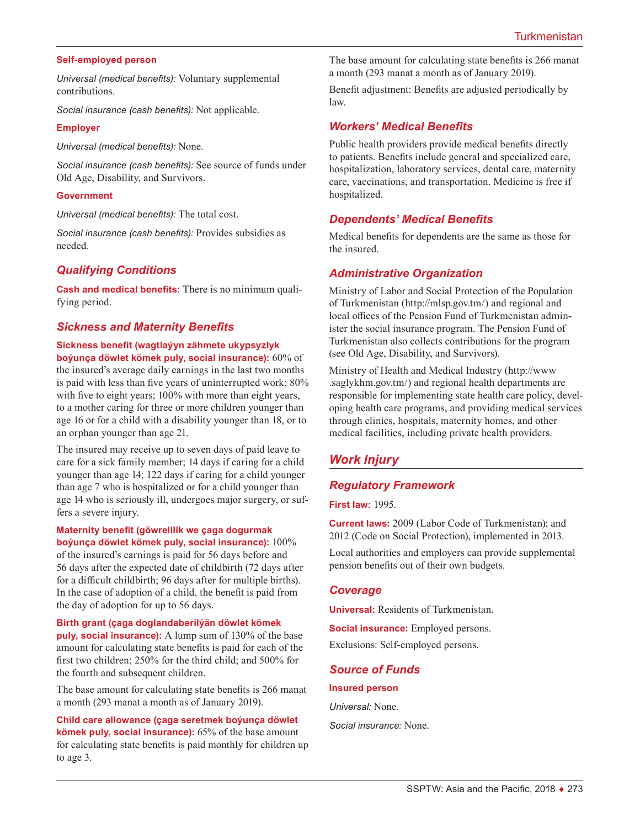#### **Self-employed person**

*Universal (medical benefits):* Voluntary supplemental contributions.

*Social insurance (cash benefits):* Not applicable.

#### **Employer**

*Universal (medical benefits):* None.

*Social insurance (cash benefits):* See source of funds under Old Age, Disability, and Survivors.

#### **Government**

*Universal (medical benefits):* The total cost.

*Social insurance (cash benefits):* Provides subsidies as needed.

### *Qualifying Conditions*

**Cash and medical benefits:** There is no minimum qualifying period.

#### *Sickness and Maternity Benefits*

#### **Sickness benefit (wagtlaýyn zähmete ukypsyzlyk boýunça döwlet kömek puly, social insurance):** 60% of

the insured's average daily earnings in the last two months is paid with less than five years of uninterrupted work; 80% with five to eight years; 100% with more than eight years, to a mother caring for three or more children younger than age 16 or for a child with a disability younger than 18, or to an orphan younger than age 21.

The insured may receive up to seven days of paid leave to care for a sick family member; 14 days if caring for a child younger than age 14; 122 days if caring for a child younger than age 7 who is hospitalized or for a child younger than age 14 who is seriously ill, undergoes major surgery, or suffers a severe injury.

**Maternity benefit (göwrelilik we çaga dogurmak boýunça döwlet kömek puly, social insurance):** 100% of the insured's earnings is paid for 56 days before and 56 days after the expected date of childbirth (72 days after for a difficult childbirth; 96 days after for multiple births). In the case of adoption of a child, the benefit is paid from the day of adoption for up to 56 days.

**Birth grant (çaga doglandaberilýän döwlet kömek puly, social insurance):** A lump sum of 130% of the base amount for calculating state benefits is paid for each of the first two children; 250% for the third child; and 500% for the fourth and subsequent children.

The base amount for calculating state benefits is 266 manat a month (293 manat a month as of January 2019).

**Child care allowance (çaga seretmek boýunça döwlet kömek puly, social insurance):** 65% of the base amount for calculating state benefits is paid monthly for children up to age 3.

The base amount for calculating state benefits is 266 manat a month (293 manat a month as of January 2019).

Benefit adjustment: Benefits are adjusted periodically by law.

#### *Workers' Medical Benefits*

Public health providers provide medical benefits directly to patients. Benefits include general and specialized care, hospitalization, laboratory services, dental care, maternity care, vaccinations, and transportation. Medicine is free if hospitalized.

### *Dependents' Medical Benefits*

Medical benefits for dependents are the same as those for the insured.

#### *Administrative Organization*

Ministry of Labor and Social Protection of the Population of Turkmenistan (<http://mlsp.gov.tm/>) and regional and local offices of the Pension Fund of Turkmenistan administer the social insurance program. The Pension Fund of Turkmenistan also collects contributions for the program (see Old Age, Disability, and Survivors).

Ministry of Health and Medical Industry [\(http://www](http://www.saglykhm.gov.tm/) [.saglykhm.gov.tm/](http://www.saglykhm.gov.tm/)) and regional health departments are responsible for implementing state health care policy, developing health care programs, and providing medical services through clinics, hospitals, maternity homes, and other medical facilities, including private health providers.

# *Work Injury*

### *Regulatory Framework*

**First law:** 1995.

**Current laws:** 2009 (Labor Code of Turkmenistan); and 2012 (Code on Social Protection), implemented in 2013.

Local authorities and employers can provide supplemental pension benefits out of their own budgets.

#### *Coverage*

**Universal:** Residents of Turkmenistan.

**Social insurance:** Employed persons. Exclusions: Self-employed persons.

# *Source of Funds*

**Insured person**

*Universal:* None.

*Social insurance:* None.